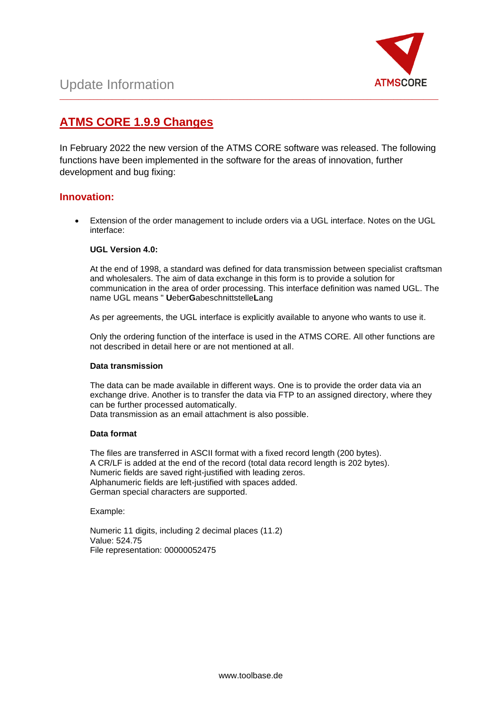

## **ATMS CORE 1.9.9 Changes**

In February 2022 the new version of the ATMS CORE software was released. The following functions have been implemented in the software for the areas of innovation, further development and bug fixing:

\_\_\_\_\_\_\_\_\_\_\_\_\_\_\_\_\_\_\_\_\_\_\_\_\_\_\_\_\_\_\_\_\_\_\_\_\_\_\_\_\_\_\_\_\_\_\_\_\_\_\_\_\_\_\_\_\_\_\_\_\_\_\_\_\_\_\_\_\_\_\_\_\_\_\_\_\_\_\_\_\_\_\_\_\_\_\_\_\_\_\_\_\_\_\_\_\_\_\_\_\_

### **Innovation:**

• Extension of the order management to include orders via a UGL interface. Notes on the UGL interface:

### **UGL Version 4.0:**

At the end of 1998, a standard was defined for data transmission between specialist craftsman and wholesalers. The aim of data exchange in this form is to provide a solution for communication in the area of order processing. This interface definition was named UGL. The name UGL means " **U**eber**G**abeschnittstelle**L**ang

As per agreements, the UGL interface is explicitly available to anyone who wants to use it.

Only the ordering function of the interface is used in the ATMS CORE. All other functions are not described in detail here or are not mentioned at all.

### **Data transmission**

The data can be made available in different ways. One is to provide the order data via an exchange drive. Another is to transfer the data via FTP to an assigned directory, where they can be further processed automatically. Data transmission as an email attachment is also possible.

### **Data format**

The files are transferred in ASCII format with a fixed record length (200 bytes). A CR/LF is added at the end of the record (total data record length is 202 bytes). Numeric fields are saved right-justified with leading zeros. Alphanumeric fields are left-justified with spaces added. German special characters are supported.

Example:

Numeric 11 digits, including 2 decimal places (11.2) Value: 524.75 File representation: 00000052475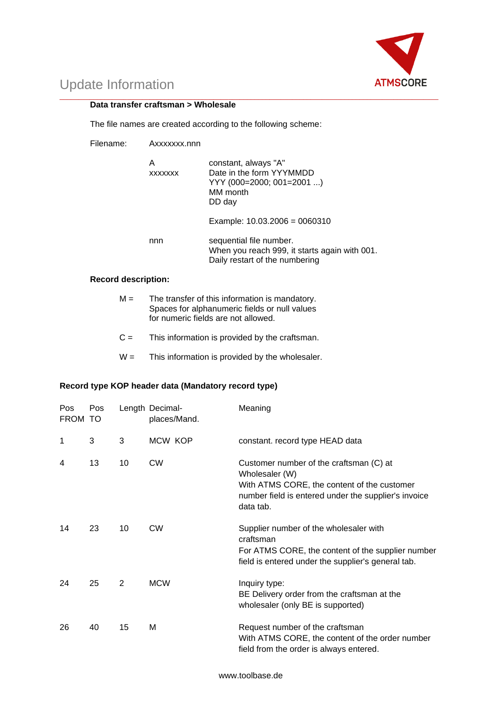

#### \_\_\_\_\_\_\_\_\_\_\_\_\_\_\_\_\_\_\_\_\_\_\_\_\_\_\_\_\_\_\_\_\_\_\_\_\_\_\_\_\_\_\_\_\_\_\_\_\_\_\_\_\_\_\_\_\_\_\_\_\_\_\_\_\_\_\_\_\_\_\_\_\_\_\_\_\_\_\_\_\_\_\_\_\_\_\_\_\_\_\_\_\_\_\_\_\_\_\_\_\_ **Data transfer craftsman > Wholesale**

The file names are created according to the following scheme:

Filename: Axxxxxxx.nnn

| Α<br><b>XXXXXXX</b> | constant, always "A"<br>Date in the form YYYMMDD<br>YYY (000=2000; 001=2001 )<br>MM month<br>DD day        |
|---------------------|------------------------------------------------------------------------------------------------------------|
|                     | Example: $10.03.2006 = 0060310$                                                                            |
| nnn                 | sequential file number.<br>When you reach 999, it starts again with 001.<br>Daily restart of the numbering |

### **Record description:**

- $M =$  The transfer of this information is mandatory. Spaces for alphanumeric fields or null values for numeric fields are not allowed.
- $C =$  This information is provided by the craftsman.
- $W =$  This information is provided by the wholesaler.

### **Record type KOP header data (Mandatory record type)**

| Pos<br>FROM TO | Pos |    | Length Decimal-<br>places/Mand. | Meaning                                                                                                                                                                       |
|----------------|-----|----|---------------------------------|-------------------------------------------------------------------------------------------------------------------------------------------------------------------------------|
| 1              | 3   | 3  | MCW KOP                         | constant. record type HEAD data                                                                                                                                               |
| 4              | 13  | 10 | <b>CW</b>                       | Customer number of the craftsman (C) at<br>Wholesaler (W)<br>With ATMS CORE, the content of the customer<br>number field is entered under the supplier's invoice<br>data tab. |
| 14             | 23  | 10 | <b>CW</b>                       | Supplier number of the wholesaler with<br>craftsman<br>For ATMS CORE, the content of the supplier number<br>field is entered under the supplier's general tab.                |
| 24             | 25  | 2  | <b>MCW</b>                      | Inquiry type:<br>BE Delivery order from the craftsman at the<br>wholesaler (only BE is supported)                                                                             |
| 26             | 40  | 15 | M                               | Request number of the craftsman<br>With ATMS CORE, the content of the order number<br>field from the order is always entered.                                                 |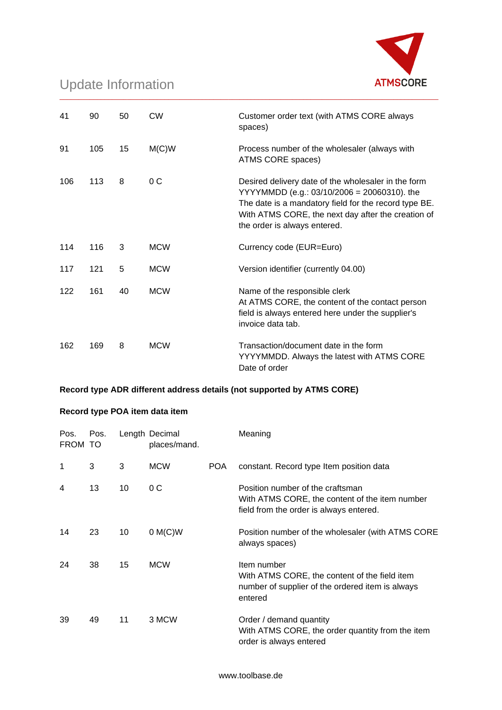

| 41  | 90  | 50 | <b>CW</b>  | Customer order text (with ATMS CORE always<br>spaces)                                                                                                                                                                                                |
|-----|-----|----|------------|------------------------------------------------------------------------------------------------------------------------------------------------------------------------------------------------------------------------------------------------------|
| 91  | 105 | 15 | M(C)W      | Process number of the wholesaler (always with<br>ATMS CORE spaces)                                                                                                                                                                                   |
| 106 | 113 | 8  | 0C         | Desired delivery date of the wholesaler in the form<br>$YYYYMMDD (e.g.: 03/10/2006 = 20060310)$ . the<br>The date is a mandatory field for the record type BE.<br>With ATMS CORE, the next day after the creation of<br>the order is always entered. |
| 114 | 116 | 3  | <b>MCW</b> | Currency code (EUR=Euro)                                                                                                                                                                                                                             |
| 117 | 121 | 5  | <b>MCW</b> | Version identifier (currently 04.00)                                                                                                                                                                                                                 |
| 122 | 161 | 40 | <b>MCW</b> | Name of the responsible clerk<br>At ATMS CORE, the content of the contact person<br>field is always entered here under the supplier's<br>invoice data tab.                                                                                           |
| 162 | 169 | 8  | <b>MCW</b> | Transaction/document date in the form<br>YYYYMMDD. Always the latest with ATMS CORE<br>Date of order                                                                                                                                                 |

\_\_\_\_\_\_\_\_\_\_\_\_\_\_\_\_\_\_\_\_\_\_\_\_\_\_\_\_\_\_\_\_\_\_\_\_\_\_\_\_\_\_\_\_\_\_\_\_\_\_\_\_\_\_\_\_\_\_\_\_\_\_\_\_\_\_\_\_\_\_\_\_\_\_\_\_\_\_\_\_\_\_\_\_\_\_\_\_\_\_\_\_\_\_\_\_\_\_\_\_\_

### **Record type ADR different address details (not supported by ATMS CORE)**

### **Record type POA item data item**

| Pos.<br>FROM TO | Pos. |    | Length Decimal<br>places/mand. |            | Meaning                                                                                                                       |
|-----------------|------|----|--------------------------------|------------|-------------------------------------------------------------------------------------------------------------------------------|
| 1               | 3    | 3  | <b>MCW</b>                     | <b>POA</b> | constant. Record type Item position data                                                                                      |
| 4               | 13   | 10 | 0 <sup>C</sup>                 |            | Position number of the craftsman<br>With ATMS CORE, the content of the item number<br>field from the order is always entered. |
| 14              | 23   | 10 | $0 M(C)$ W                     |            | Position number of the wholesaler (with ATMS CORE<br>always spaces)                                                           |
| 24              | 38   | 15 | <b>MCW</b>                     |            | Item number<br>With ATMS CORE, the content of the field item<br>number of supplier of the ordered item is always<br>entered   |
| 39              | 49   | 11 | 3 MCW                          |            | Order / demand quantity<br>With ATMS CORE, the order quantity from the item<br>order is always entered                        |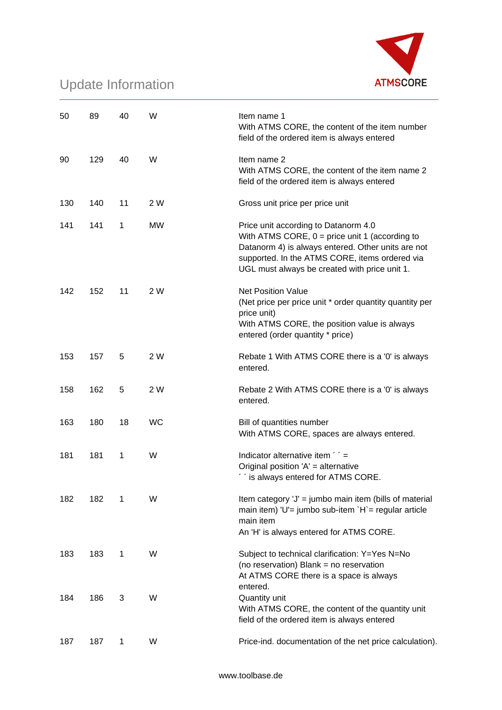

| 50  | 89  | 40 | W         | Item name 1<br>With ATMS CORE, the content of the item number<br>field of the ordered item is always entered                                                                                                                                      |
|-----|-----|----|-----------|---------------------------------------------------------------------------------------------------------------------------------------------------------------------------------------------------------------------------------------------------|
| 90  | 129 | 40 | W         | Item name 2<br>With ATMS CORE, the content of the item name 2<br>field of the ordered item is always entered                                                                                                                                      |
| 130 | 140 | 11 | 2 W       | Gross unit price per price unit                                                                                                                                                                                                                   |
| 141 | 141 | 1  | <b>MW</b> | Price unit according to Datanorm 4.0<br>With ATMS CORE, $0 = price$ unit 1 (according to<br>Datanorm 4) is always entered. Other units are not<br>supported. In the ATMS CORE, items ordered via<br>UGL must always be created with price unit 1. |
| 142 | 152 | 11 | 2 W       | <b>Net Position Value</b><br>(Net price per price unit * order quantity quantity per<br>price unit)<br>With ATMS CORE, the position value is always<br>entered (order quantity * price)                                                           |
| 153 | 157 | 5  | 2 W       | Rebate 1 With ATMS CORE there is a '0' is always<br>entered.                                                                                                                                                                                      |
| 158 | 162 | 5  | 2 W       | Rebate 2 With ATMS CORE there is a '0' is always<br>entered.                                                                                                                                                                                      |
| 163 | 180 | 18 | <b>WC</b> | Bill of quantities number<br>With ATMS CORE, spaces are always entered.                                                                                                                                                                           |
| 181 | 181 | 1  | W         | Indicator alternative item ' ' =<br>Original position 'A' = alternative<br>" is always entered for ATMS CORE.                                                                                                                                     |
| 182 | 182 | 1  | W         | Item category 'J' = jumbo main item (bills of material<br>main item) 'U'= jumbo sub-item `H`= regular article<br>main item<br>An 'H' is always entered for ATMS CORE.                                                                             |
| 183 | 183 | 1  | W         | Subject to technical clarification: Y=Yes N=No<br>(no reservation) Blank = no reservation<br>At ATMS CORE there is a space is always<br>entered.                                                                                                  |
| 184 | 186 | 3  | W         | Quantity unit<br>With ATMS CORE, the content of the quantity unit<br>field of the ordered item is always entered                                                                                                                                  |
| 187 | 187 | 1  | W         | Price-ind. documentation of the net price calculation).                                                                                                                                                                                           |

\_\_\_\_\_\_\_\_\_\_\_\_\_\_\_\_\_\_\_\_\_\_\_\_\_\_\_\_\_\_\_\_\_\_\_\_\_\_\_\_\_\_\_\_\_\_\_\_\_\_\_\_\_\_\_\_\_\_\_\_\_\_\_\_\_\_\_\_\_\_\_\_\_\_\_\_\_\_\_\_\_\_\_\_\_\_\_\_\_\_\_\_\_\_\_\_\_\_\_\_\_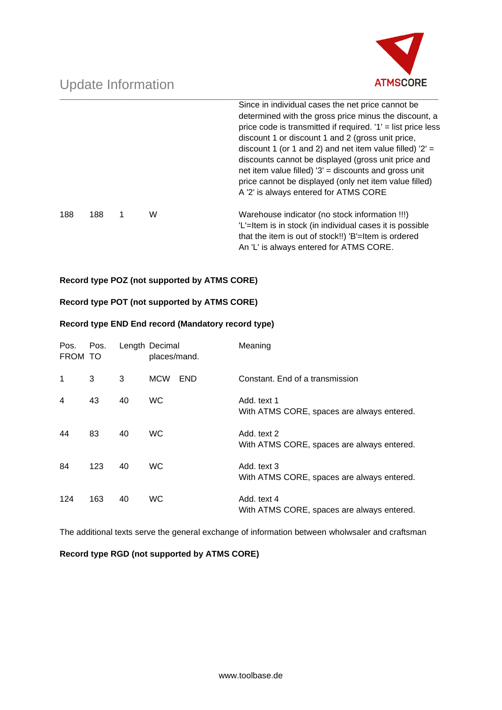

|     |     |   |   | Since in individual cases the net price cannot be.<br>determined with the gross price minus the discount, a<br>price code is transmitted if required. $1'$ = list price less<br>discount 1 or discount 1 and 2 (gross unit price,<br>discount 1 (or 1 and 2) and net item value filled) $2' =$<br>discounts cannot be displayed (gross unit price and<br>net item value filled) $3'$ = discounts and gross unit<br>price cannot be displayed (only net item value filled)<br>A '2' is always entered for ATMS CORE |
|-----|-----|---|---|--------------------------------------------------------------------------------------------------------------------------------------------------------------------------------------------------------------------------------------------------------------------------------------------------------------------------------------------------------------------------------------------------------------------------------------------------------------------------------------------------------------------|
| 188 | 188 | 1 | W | Warehouse indicator (no stock information !!!)<br>'L'=Item is in stock (in individual cases it is possible<br>that the item is out of stock!!) 'B'=Item is ordered<br>An 'L' is always entered for ATMS CORE.                                                                                                                                                                                                                                                                                                      |

\_\_\_\_\_\_\_\_\_\_\_\_\_\_\_\_\_\_\_\_\_\_\_\_\_\_\_\_\_\_\_\_\_\_\_\_\_\_\_\_\_\_\_\_\_\_\_\_\_\_\_\_\_\_\_\_\_\_\_\_\_\_\_\_\_\_\_\_\_\_\_\_\_\_\_\_\_\_\_\_\_\_\_\_\_\_\_\_\_\_\_\_\_\_\_\_\_\_\_\_\_

### **Record type POZ (not supported by ATMS CORE)**

### **Record type POT (not supported by ATMS CORE)**

### **Record type END End record (Mandatory record type)**

| Pos.<br>FROM TO | Pos. |    | Length Decimal<br>places/mand. |            | Meaning                                                   |
|-----------------|------|----|--------------------------------|------------|-----------------------------------------------------------|
| 1               | 3    | 3  | <b>MCW</b>                     | <b>END</b> | Constant. End of a transmission                           |
| 4               | 43   | 40 | <b>WC</b>                      |            | Add. text 1<br>With ATMS CORE, spaces are always entered. |
| 44              | 83   | 40 | <b>WC</b>                      |            | Add. text 2<br>With ATMS CORE, spaces are always entered. |
| 84              | 123  | 40 | <b>WC</b>                      |            | Add. text 3<br>With ATMS CORE, spaces are always entered. |
| 124             | 163  | 40 | <b>WC</b>                      |            | Add. text 4<br>With ATMS CORE, spaces are always entered. |

The additional texts serve the general exchange of information between wholwsaler and craftsman

### **Record type RGD (not supported by ATMS CORE)**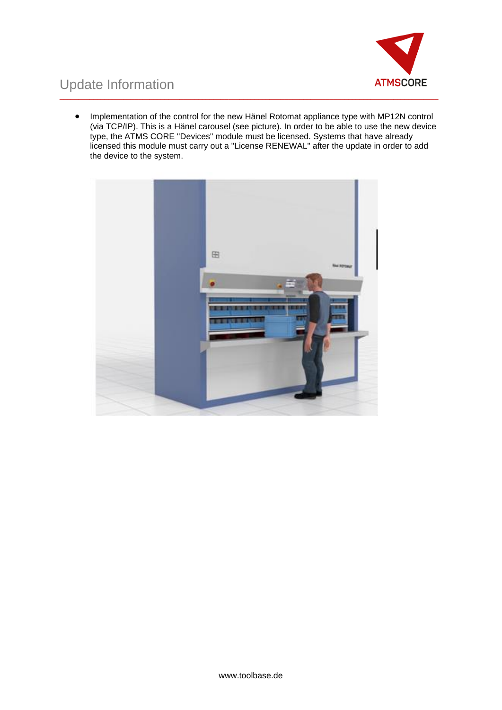

### Update Information \_\_\_\_\_\_\_\_\_\_\_\_\_\_\_\_\_\_\_\_\_\_\_\_\_\_\_\_\_\_\_\_\_\_\_\_\_\_\_\_\_\_\_\_\_\_\_\_\_\_\_\_\_\_\_\_\_\_\_\_\_\_\_\_\_\_\_\_\_\_\_\_\_\_\_\_\_\_\_\_\_\_\_\_\_\_\_\_\_\_\_\_\_\_\_\_\_\_\_\_\_

• Implementation of the control for the new Hänel Rotomat appliance type with MP12N control (via TCP/IP). This is a Hänel carousel (see picture). In order to be able to use the new device type, the ATMS CORE "Devices" module must be licensed. Systems that have already licensed this module must carry out a "License RENEWAL" after the update in order to add the device to the system.

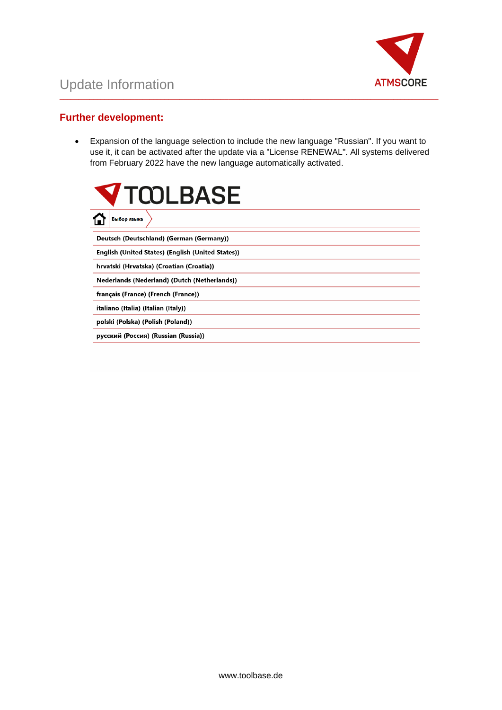

### **Further development:**

• Expansion of the language selection to include the new language "Russian". If you want to use it, it can be activated after the update via a "License RENEWAL". All systems delivered from February 2022 have the new language automatically activated.

\_\_\_\_\_\_\_\_\_\_\_\_\_\_\_\_\_\_\_\_\_\_\_\_\_\_\_\_\_\_\_\_\_\_\_\_\_\_\_\_\_\_\_\_\_\_\_\_\_\_\_\_\_\_\_\_\_\_\_\_\_\_\_\_\_\_\_\_\_\_\_\_\_\_\_\_\_\_\_\_\_\_\_\_\_\_\_\_\_\_\_\_\_\_\_\_\_\_\_\_\_

| <b>V</b> TQOLBASE                                 |  |  |  |  |
|---------------------------------------------------|--|--|--|--|
| Выбор языка                                       |  |  |  |  |
| Deutsch (Deutschland) (German (Germany))          |  |  |  |  |
| English (United States) (English (United States)) |  |  |  |  |
| hrvatski (Hrvatska) (Croatian (Croatia))          |  |  |  |  |
| Nederlands (Nederland) (Dutch (Netherlands))      |  |  |  |  |
| français (France) (French (France))               |  |  |  |  |
| italiano (Italia) (Italian (Italy))               |  |  |  |  |
| polski (Polska) (Polish (Poland))                 |  |  |  |  |
| русский (Россия) (Russian (Russia))               |  |  |  |  |